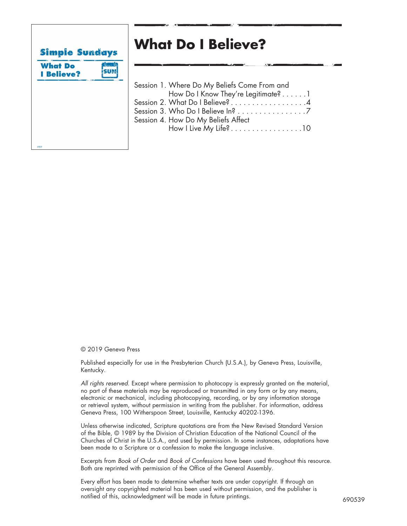

# **What Do I Believe?**

|  | Session 1. Where Do My Beliefs Come From and |
|--|----------------------------------------------|
|  | How Do I Know They're Legitimate?1           |
|  | Session 2. What Do I Believe? 4              |
|  | Session 3. Who Do I Believe In? 7            |
|  | Session 4. How Do My Beliefs Affect          |
|  |                                              |
|  |                                              |

© 2019 Geneva Press

Published especially for use in the Presbyterian Church (U.S.A.), by Geneva Press, Louisville, Kentucky.

*All rights reserved.* Except where permission to photocopy is expressly granted on the material, no part of these materials may be reproduced or transmitted in any form or by any means, electronic or mechanical, including photocopying, recording, or by any information storage or retrieval system, without permission in writing from the publisher. For information, address Geneva Press, 100 Witherspoon Street, Louisville, Kentucky 40202-1396.

Unless otherwise indicated, Scripture quotations are from the New Revised Standard Version of the Bible, © 1989 by the Division of Christian Education of the National Council of the Churches of Christ in the U.S.A., and used by permission. In some instances, adaptations have been made to a Scripture or a confession to make the language inclusive.

Excerpts from *Book of Order* and *Book of Confessions* have been used throughout this resource. Both are reprinted with permission of the Office of the General Assembly.

Every effort has been made to determine whether texts are under copyright. If through an oversight any copyrighted material has been used without permission, and the publisher is notified of this, acknowledgment will be made in future printings.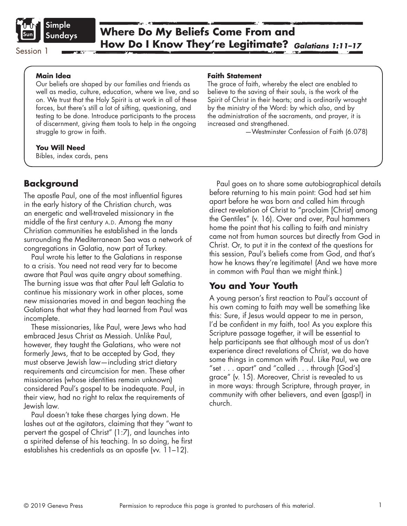

#### **Main Idea**

Our beliefs are shaped by our families and friends as well as media, culture, education, where we live, and so on. We trust that the Holy Spirit is at work in all of these forces, but there's still a lot of sifting, questioning, and testing to be done. Introduce participants to the process of discernment, giving them tools to help in the ongoing struggle to grow in faith.

#### **You Will Need**

Bibles, index cards, pens

# **Background**

The apostle Paul, one of the most influential figures in the early history of the Christian church, was an energetic and well-traveled missionary in the middle of the first century A.D. Among the many Christian communities he established in the lands surrounding the Mediterranean Sea was a network of congregations in Galatia, now part of Turkey.

Paul wrote his letter to the Galatians in response to a crisis. You need not read very far to become aware that Paul was quite angry about something. The burning issue was that after Paul left Galatia to continue his missionary work in other places, some new missionaries moved in and began teaching the Galatians that what they had learned from Paul was incomplete.

These missionaries, like Paul, were Jews who had embraced Jesus Christ as Messiah. Unlike Paul, however, they taught the Galatians, who were not formerly Jews, that to be accepted by God, they must observe Jewish law—including strict dietary requirements and circumcision for men. These other missionaries (whose identities remain unknown) considered Paul's gospel to be inadequate. Paul, in their view, had no right to relax the requirements of Jewish law.

Paul doesn't take these charges lying down. He lashes out at the agitators, claiming that they "want to pervert the gospel of Christ" (1:7), and launches into a spirited defense of his teaching. In so doing, he first establishes his credentials as an apostle (vv. 11–12).

### **Faith Statement**

The grace of faith, whereby the elect are enabled to believe to the saving of their souls, is the work of the Spirit of Christ in their hearts; and is ordinarily wrought by the ministry of the Word: by which also, and by the administration of the sacraments, and prayer, it is increased and strengthened.

—Westminster Confession of Faith (6.078)

Paul goes on to share some autobiographical details before returning to his main point: God had set him apart before he was born and called him through direct revelation of Christ to "proclaim [Christ] among the Gentiles" (v. 16). Over and over, Paul hammers home the point that his calling to faith and ministry came not from human sources but directly from God in Christ. Or, to put it in the context of the questions for this session, Paul's beliefs come from God, and that's how he knows they're legitimate! (And we have more in common with Paul than we might think.)

# **You and Your Youth**

A young person's first reaction to Paul's account of his own coming to faith may well be something like this: Sure, if Jesus would appear to me in person, I'd be confident in my faith, too! As you explore this Scripture passage together, it will be essential to help participants see that although most of us don't experience direct revelations of Christ, we do have some things in common with Paul. Like Paul, we are "set . . . apart" and "called . . . through [God's] grace" (v. 15). Moreover, Christ is revealed to us in more ways: through Scripture, through prayer, in community with other believers, and even (gasp!) in church.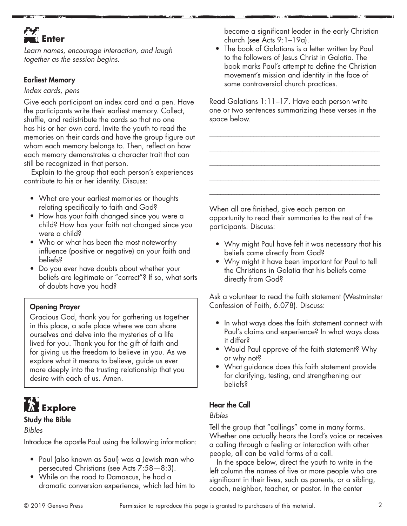# **Fax**u Enter

*Learn names, encourage interaction, and laugh together as the session begins.*

### Earliest Memory

#### *Index cards, pens*

Give each participant an index card and a pen. Have the participants write their earliest memory. Collect, shuffle, and redistribute the cards so that no one has his or her own card. Invite the youth to read the memories on their cards and have the group figure out whom each memory belongs to. Then, reflect on how each memory demonstrates a character trait that can still be recognized in that person.

Explain to the group that each person's experiences contribute to his or her identity. Discuss:

- What are your earliest memories or thoughts relating specifically to faith and God?
- How has your faith changed since you were a child? How has your faith not changed since you were a child?
- Who or what has been the most noteworthy influence (positive or negative) on your faith and beliefs?
- Do you ever have doubts about whether your beliefs are legitimate or "correct"? If so, what sorts of doubts have you had?

## Opening Prayer

Gracious God, thank you for gathering us together in this place, a safe place where we can share ourselves and delve into the mysteries of a life lived for you. Thank you for the gift of faith and for giving us the freedom to believe in you. As we explore what it means to believe, guide us ever more deeply into the trusting relationship that you desire with each of us. Amen.

# **Explore**

### Study the Bible

### *Bibles*

Introduce the apostle Paul using the following information:

- Paul (also known as Saul) was a Jewish man who persecuted Christians (see Acts 7:58—8:3).
- While on the road to Damascus, he had a dramatic conversion experience, which led him to

become a significant leader in the early Christian church (see Acts 9:1–19a).

• The book of Galatians is a letter written by Paul to the followers of Jesus Christ in Galatia. The book marks Paul's attempt to define the Christian movement's mission and identity in the face of some controversial church practices.

Read Galatians 1:11–17. Have each person write one or two sentences summarizing these verses in the space below.

\_\_\_\_\_\_\_\_\_\_\_\_\_\_\_\_\_\_\_\_\_\_\_\_\_\_\_\_\_\_\_\_\_\_\_\_\_\_\_\_\_\_\_\_\_\_\_\_\_\_\_\_\_\_\_\_\_\_\_\_\_\_

\_\_\_\_\_\_\_\_\_\_\_\_\_\_\_\_\_\_\_\_\_\_\_\_\_\_\_\_\_\_\_\_\_\_\_\_\_\_\_\_\_\_\_\_\_\_\_\_\_\_\_\_\_\_\_\_\_\_\_\_\_\_

\_\_\_\_\_\_\_\_\_\_\_\_\_\_\_\_\_\_\_\_\_\_\_\_\_\_\_\_\_\_\_\_\_\_\_\_\_\_\_\_\_\_\_\_\_\_\_\_\_\_\_\_\_\_\_\_\_\_\_\_\_\_

\_\_\_\_\_\_\_\_\_\_\_\_\_\_\_\_\_\_\_\_\_\_\_\_\_\_\_\_\_\_\_\_\_\_\_\_\_\_\_\_\_\_\_\_\_\_\_\_\_\_\_\_\_\_\_\_\_\_\_\_\_\_

\_\_\_\_\_\_\_\_\_\_\_\_\_\_\_\_\_\_\_\_\_\_\_\_\_\_\_\_\_\_\_\_\_\_\_\_\_\_\_\_\_\_\_\_\_\_\_\_\_\_\_\_\_\_\_\_\_\_\_\_\_\_

When all are finished, give each person an opportunity to read their summaries to the rest of the participants. Discuss:

- Why might Paul have felt it was necessary that his beliefs came directly from God?
- Why might it have been important for Paul to tell the Christians in Galatia that his beliefs came directly from God?

Ask a volunteer to read the faith statement (Westminster Confession of Faith, 6.078). Discuss:

- In what ways does the faith statement connect with Paul's claims and experience? In what ways does it differ?
- Would Paul approve of the faith statement? Why or why not?
- What guidance does this faith statement provide for clarifying, testing, and strengthening our beliefs?

# Hear the Call

### *Bibles*

Tell the group that "callings" come in many forms. Whether one actually hears the Lord's voice or receives a calling through a feeling or interaction with other people, all can be valid forms of a call.

In the space below, direct the youth to write in the left column the names of five or more people who are significant in their lives, such as parents, or a sibling, coach, neighbor, teacher, or pastor. In the center